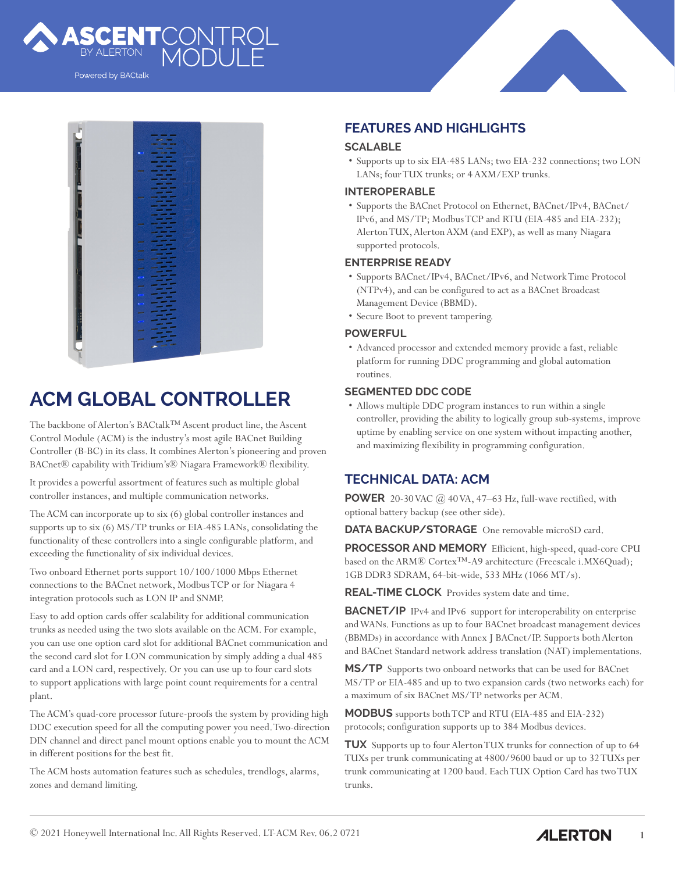

Powered by BACtalk



# **ACM GLOBAL CONTROLLER**

The backbone of Alerton's BACtalk™ Ascent product line, the Ascent Control Module (ACM) is the industry's most agile BACnet Building Controller (B-BC) in its class. It combines Alerton's pioneering and proven BACnet® capability with Tridium's® Niagara Framework® flexibility.

It provides a powerful assortment of features such as multiple global controller instances, and multiple communication networks.

The ACM can incorporate up to six (6) global controller instances and supports up to six (6) MS/TP trunks or EIA-485 LANs, consolidating the functionality of these controllers into a single configurable platform, and exceeding the functionality of six individual devices.

Two onboard Ethernet ports support 10/100/1000 Mbps Ethernet connections to the BACnet network, Modbus TCP or for Niagara 4 integration protocols such as LON IP and SNMP.

Easy to add option cards offer scalability for additional communication trunks as needed using the two slots available on the ACM. For example, you can use one option card slot for additional BACnet communication and the second card slot for LON communication by simply adding a dual 485 card and a LON card, respectively. Or you can use up to four card slots to support applications with large point count requirements for a central plant.

The ACM's quad-core processor future-proofs the system by providing high DDC execution speed for all the computing power you need. Two-direction DIN channel and direct panel mount options enable you to mount the ACM in different positions for the best fit.

The ACM hosts automation features such as schedules, trendlogs, alarms, zones and demand limiting.

# **FEATURES AND HIGHLIGHTS**

## **SCALABLE**

• Supports up to six EIA-485 LANs; two EIA-232 connections; two LON LANs; four TUX trunks; or 4 AXM/EXP trunks.

#### **INTEROPERABLE**

• Supports the BACnet Protocol on Ethernet, BACnet/IPv4, BACnet/ IPv6, and MS/TP; Modbus TCP and RTU (EIA-485 and EIA-232); Alerton TUX, Alerton AXM (and EXP), as well as many Niagara supported protocols.

#### **ENTERPRISE READY**

- Supports BACnet/IPv4, BACnet/IPv6, and Network Time Protocol (NTPv4), and can be configured to act as a BACnet Broadcast Management Device (BBMD).
- Secure Boot to prevent tampering.

### **POWERFUL**

• Advanced processor and extended memory provide a fast, reliable platform for running DDC programming and global automation routines.

#### **SEGMENTED DDC CODE**

• Allows multiple DDC program instances to run within a single controller, providing the ability to logically group sub-systems, improve uptime by enabling service on one system without impacting another, and maximizing flexibility in programming configuration.

# **TECHNICAL DATA: ACM**

**POWER** 20-30 VAC  $\omega$  40 VA, 47–63 Hz, full-wave rectified, with optional battery backup (see other side).

**DATA BACKUP/STORAGE** One removable microSD card.

**PROCESSOR AND MEMORY** Efficient, high-speed, quad-core CPU based on the ARM® Cortex™-A9 architecture (Freescale i.MX6Quad); 1GB DDR3 SDRAM, 64-bit-wide, 533 MHz (1066 MT/s).

**REAL-TIME CLOCK** Provides system date and time.

**BACNET/IP** IPv4 and IPv6 support for interoperability on enterprise and WANs. Functions as up to four BACnet broadcast management devices (BBMDs) in accordance with Annex J BACnet/IP. Supports both Alerton and BACnet Standard network address translation (NAT) implementations.

**MS/TP** Supports two onboard networks that can be used for BACnet MS/TP or EIA-485 and up to two expansion cards (two networks each) for a maximum of six BACnet MS/TP networks per ACM.

**MODBUS** supports both TCP and RTU (EIA-485 and EIA-232) protocols; configuration supports up to 384 Modbus devices.

**TUX** Supports up to four Alerton TUX trunks for connection of up to 64 TUXs per trunk communicating at 4800/9600 baud or up to 32 TUXs per trunk communicating at 1200 baud. Each TUX Option Card has two TUX trunks.